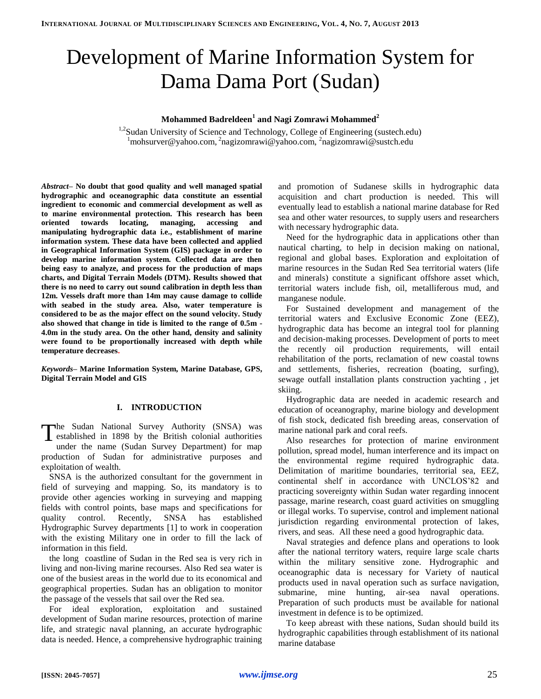# Development of Marine Information System for Dama Dama Port (Sudan)

## **Mohammed Badreldeen<sup>1</sup> and Nagi Zomrawi Mohammed<sup>2</sup>**

<sup>1,2</sup>Sudan University of Science and Technology, College of Engineering (sustech.edu) <sup>1</sup>mohsurver@yahoo.com, <sup>2</sup>nagizomrawi@yahoo.com, <sup>2</sup>nagizomrawi@sustch.edu

*Abstract–* **No doubt that good quality and well managed spatial hydrographic and oceanographic data constitute an essential ingredient to economic and commercial development as well as to marine environmental protection. This research has been oriented towards locating, managing, accessing and manipulating hydrographic data i.e., establishment of marine information system. These data have been collected and applied in Geographical Information System (GIS) package in order to develop marine information system. Collected data are then being easy to analyze, and process for the production of maps charts, and Digital Terrain Models (DTM). Results showed that there is no need to carry out sound calibration in depth less than 12m. Vessels draft more than 14m may cause damage to collide with seabed in the study area. Also, water temperature is considered to be as the major effect on the sound velocity. Study also showed that change in tide is limited to the range of 0.5m - 4.0m in the study area. On the other hand, density and salinity were found to be proportionally increased with depth while temperature decreases.**

*Keywords–* **Marine Information System, Marine Database, GPS, Digital Terrain Model and GIS**

## **I. INTRODUCTION**

The Sudan National Survey Authority (SNSA) was<br>
established in 1898 by the British colonial authorities<br>
under the name (Syden Survey Department) for more established in 1898 by the British colonial authorities under the name (Sudan Survey Department) for map production of Sudan for administrative purposes and exploitation of wealth.

SNSA is the authorized consultant for the government in field of surveying and mapping. So, its mandatory is to provide other agencies working in surveying and mapping fields with control points, base maps and specifications for quality control. Recently, SNSA has established Hydrographic Survey departments [1] to work in cooperation with the existing Military one in order to fill the lack of information in this field.

the long coastline of Sudan in the Red sea is very rich in living and non-living marine recourses. Also Red sea water is one of the busiest areas in the world due to its economical and geographical properties. Sudan has an obligation to monitor the passage of the vessels that sail over the Red sea.

For ideal exploration, exploitation and sustained development of Sudan marine resources, protection of marine life, and strategic naval planning, an accurate hydrographic data is needed. Hence, a comprehensive hydrographic training and promotion of Sudanese skills in hydrographic data acquisition and chart production is needed. This will eventually lead to establish a national marine database for Red sea and other water resources, to supply users and researchers with necessary hydrographic data.

Need for the hydrographic data in applications other than nautical charting, to help in decision making on national, regional and global bases. Exploration and exploitation of marine resources in the Sudan Red Sea territorial waters (life and minerals) constitute a significant offshore asset which, territorial waters include fish, oil, metalliferous mud, and manganese nodule.

For Sustained development and management of the territorial waters and Exclusive Economic Zone (EEZ), hydrographic data has become an integral tool for planning and decision-making processes. Development of ports to meet the recently oil production requirements, will entail rehabilitation of the ports, reclamation of new coastal towns and settlements, fisheries, recreation (boating, surfing), sewage outfall installation plants construction yachting , jet skiing.

Hydrographic data are needed in academic research and education of oceanography, marine biology and development of fish stock, dedicated fish breeding areas, conservation of marine national park and coral reefs.

Also researches for protection of marine environment pollution, spread model, human interference and its impact on the environmental regime required hydrographic data. Delimitation of maritime boundaries, territorial sea, EEZ, continental shelf in accordance with UNCLOS'82 and practicing sovereignty within Sudan water regarding innocent passage, marine research, coast guard activities on smuggling or illegal works. To supervise, control and implement national jurisdiction regarding environmental protection of lakes, rivers, and seas. All these need a good hydrographic data.

Naval strategies and defence plans and operations to look after the national territory waters, require large scale charts within the military sensitive zone. Hydrographic and oceanographic data is necessary for Variety of nautical products used in naval operation such as surface navigation, submarine, mine hunting, air-sea naval operations. Preparation of such products must be available for national investment in defence is to be optimized.

To keep abreast with these nations, Sudan should build its hydrographic capabilities through establishment of its national marine database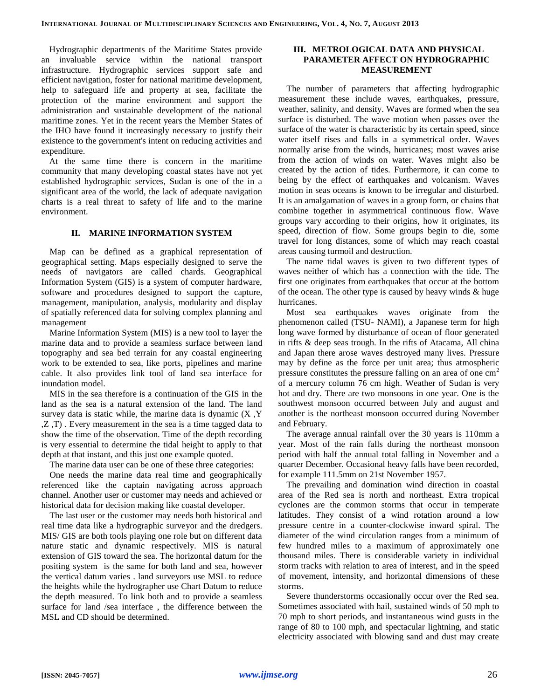Hydrographic departments of the Maritime States provide an invaluable service within the national transport infrastructure. Hydrographic services support safe and efficient navigation, foster for national maritime development, help to safeguard life and property at sea, facilitate the protection of the marine environment and support the administration and sustainable development of the national maritime zones. Yet in the recent years the Member States of the IHO have found it increasingly necessary to justify their existence to the government's intent on reducing activities and expenditure.

At the same time there is concern in the maritime community that many developing coastal states have not yet established hydrographic services, Sudan is one of the in a significant area of the world, the lack of adequate navigation charts is a real threat to safety of life and to the marine environment.

## **II. MARINE INFORMATION SYSTEM**

Map can be defined as a graphical representation of geographical setting. Maps especially designed to serve the needs of navigators are called chards. Geographical Information System (GIS) is a system of computer hardware, software and procedures designed to support the capture, management, manipulation, analysis, modularity and display of spatially referenced data for solving complex planning and management

Marine Information System (MIS) is a new tool to layer the marine data and to provide a seamless surface between land topography and sea bed terrain for any coastal engineering work to be extended to sea, like ports, pipelines and marine cable. It also provides link tool of land sea interface for inundation model.

MIS in the sea therefore is a continuation of the GIS in the land as the sea is a natural extension of the land. The land survey data is static while, the marine data is dynamic  $(X, Y)$ ,Z ,T) . Every measurement in the sea is a time tagged data to show the time of the observation. Time of the depth recording is very essential to determine the tidal height to apply to that depth at that instant, and this just one example quoted.

The marine data user can be one of these three categories:

One needs the marine data real time and geographically referenced like the captain navigating across approach channel. Another user or customer may needs and achieved or historical data for decision making like coastal developer.

The last user or the customer may needs both historical and real time data like a hydrographic surveyor and the dredgers. MIS/ GIS are both tools playing one role but on different data nature static and dynamic respectively. MIS is natural extension of GIS toward the sea. The horizontal datum for the positing system is the same for both land and sea, however the vertical datum varies . land surveyors use MSL to reduce the heights while the hydrographer use Chart Datum to reduce the depth measured. To link both and to provide a seamless surface for land /sea interface , the difference between the MSL and CD should be determined.

## **III. METROLOGICAL DATA AND PHYSICAL PARAMETER AFFECT ON HYDROGRAPHIC MEASUREMENT**

The number of parameters that affecting hydrographic measurement these include waves, earthquakes, pressure, weather, salinity, and density. Waves are formed when the sea surface is disturbed. The wave motion when passes over the surface of the water is characteristic by its certain speed, since water itself rises and falls in a symmetrical order. Waves normally arise from the winds, hurricanes; most waves arise from the action of winds on water. Waves might also be created by the action of tides. Furthermore, it can come to being by the effect of earthquakes and volcanism. Waves motion in seas oceans is known to be irregular and disturbed. It is an amalgamation of waves in a group form, or chains that combine together in asymmetrical continuous flow. Wave groups vary according to their origins, how it originates, its speed, direction of flow. Some groups begin to die, some travel for long distances, some of which may reach coastal areas causing turmoil and destruction.

The name tidal waves is given to two different types of waves neither of which has a connection with the tide. The first one originates from earthquakes that occur at the bottom of the ocean. The other type is caused by heavy winds & huge hurricanes.

Most sea earthquakes waves originate from the phenomenon called (TSU- NAMI), a Japanese term for high long wave formed by disturbance of ocean of floor generated in rifts & deep seas trough. In the rifts of Atacama, All china and Japan there arose waves destroyed many lives. Pressure may by define as the force per unit area; thus atmospheric pressure constitutes the pressure falling on an area of one cm<sup>2</sup> of a mercury column 76 cm high. Weather of Sudan is very hot and dry. There are two monsoons in one year. One is the southwest monsoon occurred between July and august and another is the northeast monsoon occurred during November and February.

The average annual rainfall over the 30 years is 110mm a year. Most of the rain falls during the northeast monsoon period with half the annual total falling in November and a quarter December. Occasional heavy falls have been recorded, for example 111.5mm on 21st November 1957.

The prevailing and domination wind direction in coastal area of the Red sea is north and northeast. Extra tropical cyclones are the common storms that occur in temperate latitudes. They consist of a wind rotation around a low pressure centre in a counter-clockwise inward spiral. The diameter of the wind circulation ranges from a minimum of few hundred miles to a maximum of approximately one thousand miles. There is considerable variety in individual storm tracks with relation to area of interest, and in the speed of movement, intensity, and horizontal dimensions of these storms.

Severe thunderstorms occasionally occur over the Red sea. Sometimes associated with hail, sustained winds of 50 mph to 70 mph to short periods, and instantaneous wind gusts in the range of 80 to 100 mph, and spectacular lightning, and static electricity associated with blowing sand and dust may create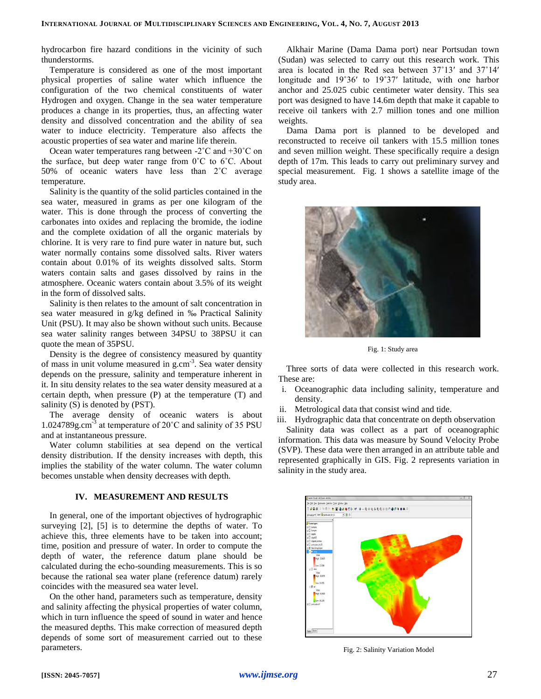hydrocarbon fire hazard conditions in the vicinity of such thunderstorms.

Temperature is considered as one of the most important physical properties of saline water which influence the configuration of the two chemical constituents of water Hydrogen and oxygen. Change in the sea water temperature produces a change in its properties, thus, an affecting water density and dissolved concentration and the ability of sea water to induce electricity. Temperature also affects the acoustic properties of sea water and marine life therein.

Ocean water temperatures rang between -2˚C and +30˚C on the surface, but deep water range from  $0^{\circ}$ C to  $6^{\circ}$ C. About 50% of oceanic waters have less than 2˚C average temperature.

Salinity is the quantity of the solid particles contained in the sea water, measured in grams as per one kilogram of the water. This is done through the process of converting the carbonates into oxides and replacing the bromide, the iodine and the complete oxidation of all the organic materials by chlorine. It is very rare to find pure water in nature but, such water normally contains some dissolved salts. River waters contain about 0.01% of its weights dissolved salts. Storm waters contain salts and gases dissolved by rains in the atmosphere. Oceanic waters contain about 3.5% of its weight in the form of dissolved salts.

Salinity is then relates to the amount of salt concentration in sea water measured in g/kg defined in ‰ Practical Salinity Unit (PSU). It may also be shown without such units. Because sea water salinity ranges between 34PSU to 38PSU it can quote the mean of 35PSU.

Density is the degree of consistency measured by quantity of mass in unit volume measured in g.cm<sup>-3</sup>. Sea water density depends on the pressure, salinity and temperature inherent in it. In situ density relates to the sea water density measured at a certain depth, when pressure (P) at the temperature (T) and salinity (S) is denoted by (PST).

The average density of oceanic waters is about 1.024789g.cm-3 at temperature of 20˚C and salinity of 35 PSU and at instantaneous pressure.

Water column stabilities at sea depend on the vertical density distribution. If the density increases with depth, this implies the stability of the water column. The water column becomes unstable when density decreases with depth.

## **IV. MEASUREMENT AND RESULTS**

In general, one of the important objectives of hydrographic surveying [2], [5] is to determine the depths of water. To achieve this, three elements have to be taken into account; time, position and pressure of water. In order to compute the depth of water, the reference datum plane should be calculated during the echo-sounding measurements. This is so because the rational sea water plane (reference datum) rarely coincides with the measured sea water level.

On the other hand, parameters such as temperature, density and salinity affecting the physical properties of water column, which in turn influence the speed of sound in water and hence the measured depths. This make correction of measured depth depends of some sort of measurement carried out to these parameters.

Alkhair Marine (Dama Dama port) near Portsudan town (Sudan) was selected to carry out this research work. This area is located in the Red sea between 37˚13′ and 37˚14′ longitude and 19˚36′ to 19˚37′ latitude, with one harbor anchor and 25.025 cubic centimeter water density. This sea port was designed to have 14.6m depth that make it capable to receive oil tankers with 2.7 million tones and one million weights.

Dama Dama port is planned to be developed and reconstructed to receive oil tankers with 15.5 million tones and seven million weight. These specifically require a design depth of 17m. This leads to carry out preliminary survey and special measurement. Fig. 1 shows a satellite image of the study area.



Fig. 1: Study area

Three sorts of data were collected in this research work. These are:

- i. Oceanographic data including salinity, temperature and density.
- ii. Metrological data that consist wind and tide.

salinity in the study area.

iii. Hydrographic data that concentrate on depth observation Salinity data was collect as a part of oceanographic information. This data was measure by Sound Velocity Probe (SVP). These data were then arranged in an attribute table and

represented graphically in GIS. Fig. 2 represents variation in



Fig. 2: Salinity Variation Model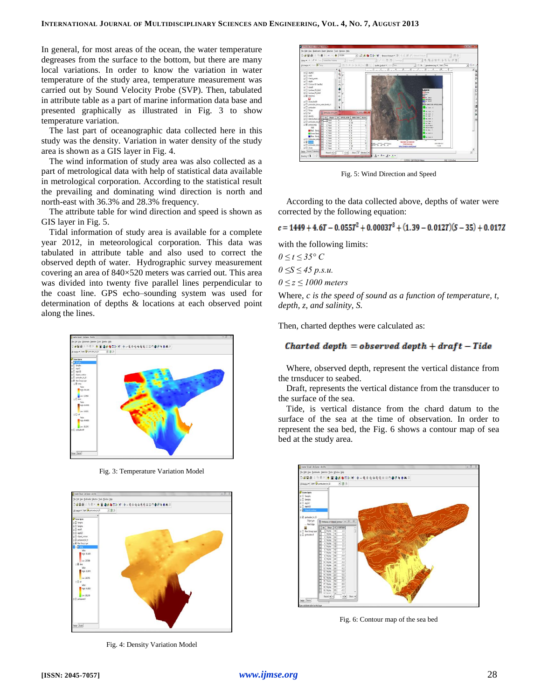In general, for most areas of the ocean, the water temperature degreases from the surface to the bottom, but there are many local variations. In order to know the variation in water temperature of the study area, temperature measurement was carried out by Sound Velocity Probe (SVP). Then, tabulated in attribute table as a part of marine information data base and presented graphically as illustrated in Fig. 3 to show temperature variation.

The last part of oceanographic data collected here in this study was the density. Variation in water density of the study area is shown as a GIS layer in Fig. 4.

The wind information of study area was also collected as a part of metrological data with help of statistical data available in metrological corporation. According to the statistical result the prevailing and dominating wind direction is north and north-east with 36.3% and 28.3% frequency.

The attribute table for wind direction and speed is shown as GIS layer in Fig. 5.

Tidal information of study area is available for a complete year 2012, in meteorological corporation. This data was tabulated in attribute table and also used to correct the observed depth of water. Hydrographic survey measurement covering an area of 840×520 meters was carried out. This area was divided into twenty five parallel lines perpendicular to the coast line. GPS echo–sounding system was used for determination of depths & locations at each observed point along the lines.



Fig. 3: Temperature Variation Model



Fig. 4: Density Variation Model



Fig. 5: Wind Direction and Speed

According to the data collected above, depths of water were corrected by the following equation:

 $c = 1449 + 4.6T - 0.055T^2 + 0.0003T^3 + (1.39 - 0.012T)(S - 35) + 0.017Z$ 

with the following limits:

*0 ≤ t ≤ 35° C 0 ≤S ≤ 45 p.s.u. 0 ≤ z ≤ 1000 meters*

Where, *c is the speed of sound as a function of temperature, t, depth, z, and salinity, S.*

Then, charted depthes were calculated as:

## Charted depth = observed depth +  $draff - Tide$

Where, observed depth, represent the vertical distance from the trnsducer to seabed.

Draft, represents the vertical distance from the transducer to the surface of the sea.

Tide, is vertical distance from the chard datum to the surface of the sea at the time of observation. In order to represent the sea bed, the Fig. 6 shows a contour map of sea bed at the study area.



Fig. 6: Contour map of the sea bed